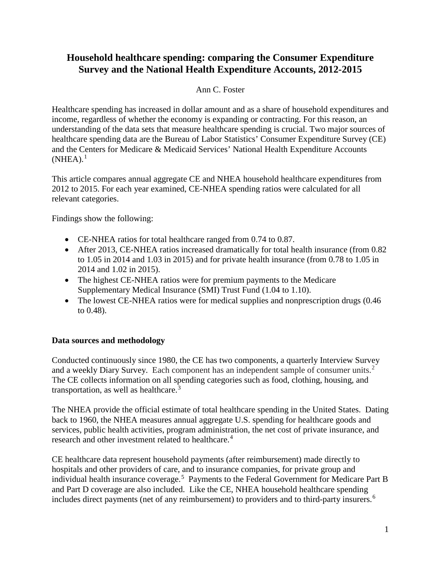# **Household healthcare spending: comparing the Consumer Expenditure Survey and the National Health Expenditure Accounts, 2012-2015**

#### Ann C. Foster

Healthcare spending has increased in dollar amount and as a share of household expenditures and income, regardless of whether the economy is expanding or contracting. For this reason, an understanding of the data sets that measure healthcare spending is crucial. Two major sources of healthcare spending data are the Bureau of Labor Statistics' Consumer Expenditure Survey (CE) and the Centers for Medicare & Medicaid Services' National Health Expenditure Accounts  $(NHEA).<sup>1</sup>$  $(NHEA).<sup>1</sup>$  $(NHEA).<sup>1</sup>$ 

This article compares annual aggregate CE and NHEA household healthcare expenditures from 2012 to 2015. For each year examined, CE-NHEA spending ratios were calculated for all relevant categories.

Findings show the following:

- CE-NHEA ratios for total healthcare ranged from 0.74 to 0.87.
- After 2013, CE-NHEA ratios increased dramatically for total health insurance (from 0.82) to 1.05 in 2014 and 1.03 in 2015) and for private health insurance (from 0.78 to 1.05 in 2014 and 1.02 in 2015).
- The highest CE-NHEA ratios were for premium payments to the Medicare Supplementary Medical Insurance (SMI) Trust Fund (1.04 to 1.10).
- The lowest CE-NHEA ratios were for medical supplies and nonprescription drugs (0.46) to 0.48).

## **Data sources and methodology**

Conducted continuously since 1980, the CE has two components, a quarterly Interview Survey and a weekly Diary Survey. Each component has an independent sample of consumer units. $2$ The CE collects information on all spending categories such as food, clothing, housing, and transportation, as well as healthcare.<sup>[3](#page-5-2)</sup>

The NHEA provide the official estimate of total healthcare spending in the United States. Dating back to 1960, the NHEA measures annual aggregate U.S. spending for healthcare goods and services, public health activities, program administration, the net cost of private insurance, and research and other investment related to healthcare. [4](#page-5-3)

CE healthcare data represent household payments (after reimbursement) made directly to hospitals and other providers of care, and to insurance companies, for private group and individual health insurance coverage.<sup>[5](#page-5-4)</sup> Payments to the Federal Government for Medicare Part B and Part D coverage are also included. Like the CE, NHEA household healthcare spending includes direct payments (net of any reimbursement) to providers and to third-party insurers.<sup>[6](#page-5-5)</sup>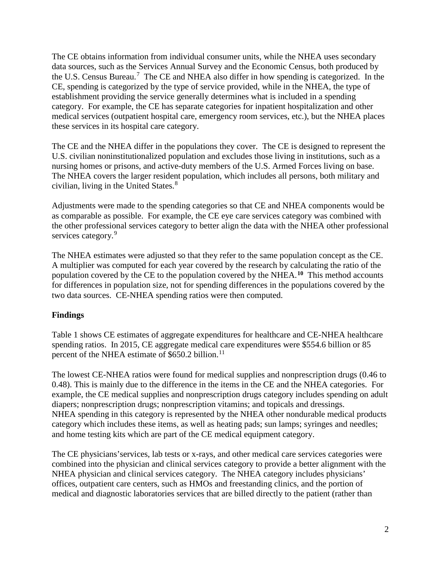The CE obtains information from individual consumer units, while the NHEA uses secondary data sources, such as the Services Annual Survey and the Economic Census, both produced by the U.S. Census Bureau.<sup>[7](#page-5-6)</sup> The CE and NHEA also differ in how spending is categorized. In the CE, spending is categorized by the type of service provided, while in the NHEA, the type of establishment providing the service generally determines what is included in a spending category. For example, the CE has separate categories for inpatient hospitalization and other medical services (outpatient hospital care, emergency room services, etc.), but the NHEA places these services in its hospital care category.

The CE and the NHEA differ in the populations they cover. The CE is designed to represent the U.S. civilian noninstitutionalized population and excludes those living in institutions, such as a nursing homes or prisons, and active-duty members of the U.S. Armed Forces living on base. The NHEA covers the larger resident population, which includes all persons, both military and civilian, living in the United States.<sup>[8](#page-6-0)</sup>

Adjustments were made to the spending categories so that CE and NHEA components would be as comparable as possible. For example, the CE eye care services category was combined with the other professional services category to better align the data with the NHEA other professional services category.<sup>[9](#page-6-1)</sup>

The NHEA estimates were adjusted so that they refer to the same population concept as the CE. A multiplier was computed for each year covered by the research by calculating the ratio of the population covered by the CE to the population covered by the NHEA.**[10](#page-6-2)** This method accounts for differences in population size, not for spending differences in the populations covered by the two data sources. CE-NHEA spending ratios were then computed.

## **Findings**

Table 1 shows CE estimates of aggregate expenditures for healthcare and CE-NHEA healthcare spending ratios. In 2015, CE aggregate medical care expenditures were \$554.6 billion or 85 percent of the NHEA estimate of \$650.2 billion.<sup>[11](#page-7-0)</sup>

The lowest CE-NHEA ratios were found for medical supplies and nonprescription drugs (0.46 to 0.48). This is mainly due to the difference in the items in the CE and the NHEA categories. For example, the CE medical supplies and nonprescription drugs category includes spending on adult diapers; nonprescription drugs; nonprescription vitamins; and topicals and dressings. NHEA spending in this category is represented by the NHEA other nondurable medical products category which includes these items, as well as heating pads; sun lamps; syringes and needles; and home testing kits which are part of the CE medical equipment category.

The CE physicians'services, lab tests or x-rays, and other medical care services categories were combined into the physician and clinical services category to provide a better alignment with the NHEA physician and clinical services category. The NHEA category includes physicians' offices, outpatient care centers, such as HMOs and freestanding clinics, and the portion of medical and diagnostic laboratories services that are billed directly to the patient (rather than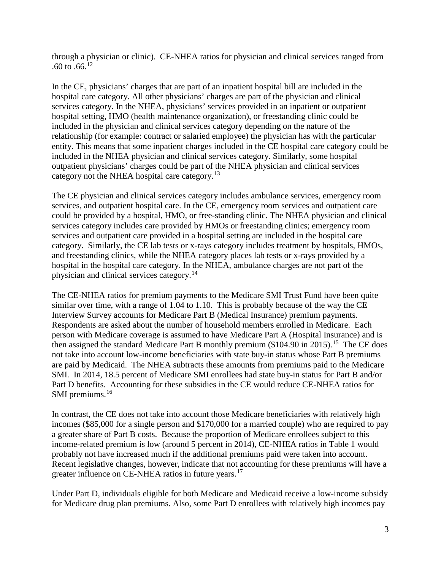through a physician or clinic). CE-NHEA ratios for physician and clinical services ranged from .60 to  $.66^{12}$  $.66^{12}$  $.66^{12}$ 

In the CE, physicians' charges that are part of an inpatient hospital bill are included in the hospital care category. All other physicians' charges are part of the physician and clinical services category. In the NHEA, physicians' services provided in an inpatient or outpatient hospital setting, HMO (health maintenance organization), or freestanding clinic could be included in the physician and clinical services category depending on the nature of the relationship (for example: contract or salaried employee) the physician has with the particular entity. This means that some inpatient charges included in the CE hospital care category could be included in the NHEA physician and clinical services category. Similarly, some hospital outpatient physicians' charges could be part of the NHEA physician and clinical services category not the NHEA hospital care category.[13](#page-7-2)

The CE physician and clinical services category includes ambulance services, emergency room services, and outpatient hospital care. In the CE, emergency room services and outpatient care could be provided by a hospital, HMO, or free-standing clinic. The NHEA physician and clinical services category includes care provided by HMOs or freestanding clinics; emergency room services and outpatient care provided in a hospital setting are included in the hospital care category. Similarly, the CE lab tests or x-rays category includes treatment by hospitals, HMOs, and freestanding clinics, while the NHEA category places lab tests or x-rays provided by a hospital in the hospital care category. In the NHEA, ambulance charges are not part of the physician and clinical services category.[14](#page-7-3)

The CE-NHEA ratios for premium payments to the Medicare SMI Trust Fund have been quite similar over time, with a range of 1.04 to 1.10. This is probably because of the way the CE Interview Survey accounts for Medicare Part B (Medical Insurance) premium payments. Respondents are asked about the number of household members enrolled in Medicare. Each person with Medicare coverage is assumed to have Medicare Part A (Hospital Insurance) and is then assigned the standard Medicare Part B monthly premium  $(\$104.90$  in 20[15](#page-7-4)).<sup>15</sup> The CE does not take into account low-income beneficiaries with state buy-in status whose Part B premiums are paid by Medicaid. The NHEA subtracts these amounts from premiums paid to the Medicare SMI. In 2014, 18.5 percent of Medicare SMI enrollees had state buy-in status for Part B and/or Part D benefits. Accounting for these subsidies in the CE would reduce CE-NHEA ratios for SMI premiums.<sup>[16](#page-7-5)</sup>

In contrast, the CE does not take into account those Medicare beneficiaries with relatively high incomes (\$85,000 for a single person and \$170,000 for a married couple) who are required to pay a greater share of Part B costs. Because the proportion of Medicare enrollees subject to this income-related premium is low (around 5 percent in 2014), CE-NHEA ratios in Table 1 would probably not have increased much if the additional premiums paid were taken into account. Recent legislative changes, however, indicate that not accounting for these premiums will have a greater influence on CE-NHEA ratios in future years.<sup>[17](#page-7-6)</sup>

Under Part D, individuals eligible for both Medicare and Medicaid receive a low-income subsidy for Medicare drug plan premiums. Also, some Part D enrollees with relatively high incomes pay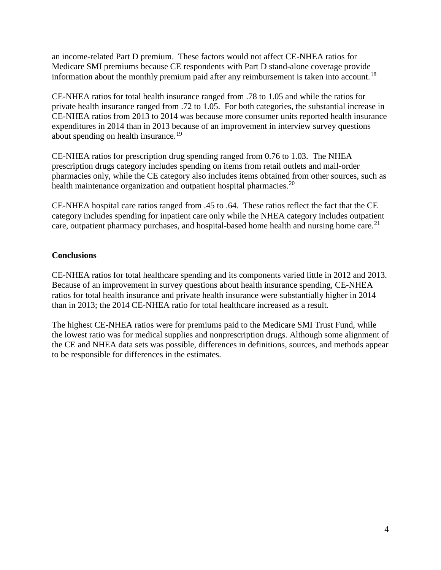an income-related Part D premium. These factors would not affect CE-NHEA ratios for Medicare SMI premiums because CE respondents with Part D stand-alone coverage provide information about the monthly premium paid after any reimbursement is taken into account.<sup>18</sup>

CE-NHEA ratios for total health insurance ranged from .78 to 1.05 and while the ratios for private health insurance ranged from .72 to 1.05. For both categories, the substantial increase in CE-NHEA ratios from 2013 to 2014 was because more consumer units reported health insurance expenditures in 2014 than in 2013 because of an improvement in interview survey questions about spending on health insurance.<sup>19</sup>

CE-NHEA ratios for prescription drug spending ranged from 0.76 to 1.03. The NHEA prescription drugs category includes spending on items from retail outlets and mail-order pharmacies only, while the CE category also includes items obtained from other sources, such as health maintenance organization and outpatient hospital pharmacies.<sup>[20](#page-8-1)</sup>

CE-NHEA hospital care ratios ranged from .45 to .64. These ratios reflect the fact that the CE category includes spending for inpatient care only while the NHEA category includes outpatient care, outpatient pharmacy purchases, and hospital-based home health and nursing home care.<sup>21</sup>

#### **Conclusions**

CE-NHEA ratios for total healthcare spending and its components varied little in 2012 and 2013. Because of an improvement in survey questions about health insurance spending, CE-NHEA ratios for total health insurance and private health insurance were substantially higher in 2014 than in 2013; the 2014 CE-NHEA ratio for total healthcare increased as a result.

The highest CE-NHEA ratios were for premiums paid to the Medicare SMI Trust Fund, while the lowest ratio was for medical supplies and nonprescription drugs. Although some alignment of the CE and NHEA data sets was possible, differences in definitions, sources, and methods appear to be responsible for differences in the estimates.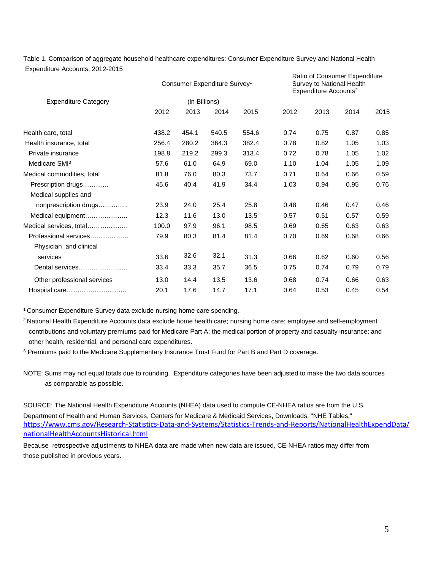Table 1. Comparison of aggregate household healthcare expenditures: Consumer Expenditure Survey and National Health Expenditure Accounts, 2012-2015 Ratio of Consumer Expenditure

| <b>Expenditure Category</b> | Consumer Expenditure Survey <sup>1</sup><br>(in Billions) |       |       |       | National Consultion Exportations<br>Survey to National Health<br>Expenditure Accounts <sup>2</sup> |      |      |      |
|-----------------------------|-----------------------------------------------------------|-------|-------|-------|----------------------------------------------------------------------------------------------------|------|------|------|
|                             |                                                           |       |       |       |                                                                                                    |      |      |      |
|                             | 2012                                                      | 2013  | 2014  | 2015  | 2012                                                                                               | 2013 | 2014 | 2015 |
| Health care, total          | 438.2                                                     | 454.1 | 540.5 | 554.6 | 0.74                                                                                               | 0.75 | 0.87 | 0.85 |
| Health insurance, total     | 256.4                                                     | 280.2 | 364.3 | 382.4 | 0.78                                                                                               | 0.82 | 1.05 | 1.03 |
| Private insurance           | 198.8                                                     | 219.2 | 299.3 | 313.4 | 0.72                                                                                               | 0.78 | 1.05 | 1.02 |
| Medicare SMI <sup>3</sup>   | 57.6                                                      | 61.0  | 64.9  | 69.0  | 1.10                                                                                               | 1.04 | 1.05 | 1.09 |
| Medical commodities, total  | 81.8                                                      | 76.0  | 80.3  | 73.7  | 0.71                                                                                               | 0.64 | 0.66 | 0.59 |
| Prescription drugs          | 45.6                                                      | 40.4  | 41.9  | 34.4  | 1.03                                                                                               | 0.94 | 0.95 | 0.76 |
| Medical supplies and        |                                                           |       |       |       |                                                                                                    |      |      |      |
| nonprescription drugs       | 23.9                                                      | 24.0  | 25.4  | 25.8  | 0.48                                                                                               | 0.46 | 0.47 | 0.46 |
| Medical equipment           | 12.3                                                      | 11.6  | 13.0  | 13.5  | 0.57                                                                                               | 0.51 | 0.57 | 0.59 |
| Medical services, total     | 100.0                                                     | 97.9  | 96.1  | 98.5  | 0.69                                                                                               | 0.65 | 0.63 | 0.63 |
| Professional services       | 79.9                                                      | 80.3  | 81.4  | 81.4  | 0.70                                                                                               | 0.69 | 0.68 | 0.66 |
| Physician and clinical      |                                                           |       |       |       |                                                                                                    |      |      |      |
| services                    | 33.6                                                      | 32.6  | 32.1  | 31.3  | 0.66                                                                                               | 0.62 | 0.60 | 0.56 |
| Dental services             | 33.4                                                      | 33.3  | 35.7  | 36.5  | 0.75                                                                                               | 0.74 | 0.79 | 0.79 |
| Other professional services | 13.0                                                      | 14.4  | 13.5  | 13.6  | 0.68                                                                                               | 0.74 | 0.66 | 0.63 |
| Hospital care               | 20.1                                                      | 17.6  | 14.7  | 17.1  | 0.64                                                                                               | 0.53 | 0.45 | 0.54 |

<sup>1</sup> Consumer Expenditure Survey data exclude nursing home care spending.

<sup>2</sup> National Health Expenditure Accounts data exclude home health care; nursing home care; employee and self-employment contributions and voluntary premiums paid for Medicare Part A; the medical portion of property and casualty insurance; and other health, residential, and personal care expenditures.

<sup>3</sup> Premiums paid to the Medicare Supplementary Insurance Trust Fund for Part B and Part D coverage.

NOTE: Sums may not equal totals due to rounding. Expenditure categories have been adjusted to make the two data sources as comparable as possible.

SOURCE: The National Health Expenditure Accounts (NHEA) data used to compute CE-NHEA ratios are from the U.S. Department of Health and Human Services, Centers for Medicare & Medicaid Services, Downloads, "NHE Tables," <https://www.cms.gov/Research-Statistics-Data-and-Systems/Statistics-Trends-and-Reports/NationalHealthExpendData/> nationalHealthAccountsHistorical.html

Because retrospective adjustments to NHEA data are made when new data are issued, CE-NHEA ratios may differ from those published in previous years.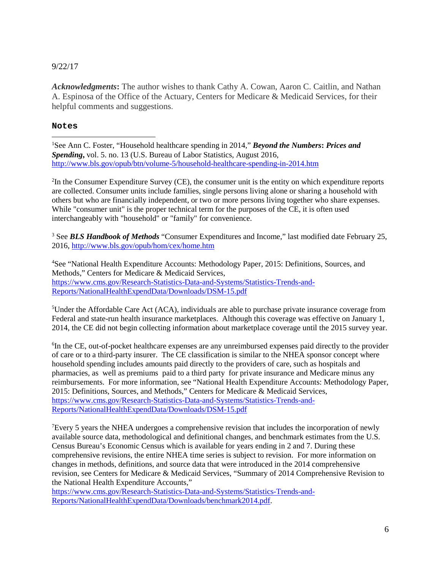#### 9/22/17

*Acknowledgments***:** The author wishes to thank Cathy A. Cowan, Aaron C. Caitlin, and Nathan A. Espinosa of the Office of the Actuary, Centers for Medicare & Medicaid Services, for their helpful comments and suggestions.

#### **Notes**

 $\overline{a}$ 

<span id="page-5-0"></span>1 See Ann C. Foster, "Household healthcare spending in 2014," *Beyond the Numbers***:** *Prices and Spending***,** vol. 5. no. 13 (U.S. Bureau of Labor Statistics, August 2016, <http://www.bls.gov/opub/btn/volume-5/household-healthcare-spending-in-2014.htm>

<span id="page-5-1"></span><sup>2</sup>In the Consumer Expenditure Survey (CE), the consumer unit is the entity on which expenditure reports are collected. Consumer units include families, single persons living alone or sharing a household with others but who are financially independent, or two or more persons living together who share expenses. While "consumer unit" is the proper technical term for the purposes of the CE, it is often used interchangeably with "household" or "family" for convenience.

<span id="page-5-2"></span><sup>3</sup> See *BLS Handbook of Methods* "Consumer Expenditures and Income," last modified date February 25, 2016,<http://www.bls.gov/opub/hom/cex/home.htm>

<span id="page-5-3"></span><sup>4</sup>See "National Health Expenditure Accounts: Methodology Paper, 2015: Definitions, Sources, and Methods," Centers for Medicare & Medicaid Services, [https://www.cms.gov/Research-Statistics-Data-and-Systems/Statistics-Trends-and-](https://www.cms.gov/Research-Statistics-Data-and-Systems/Statistics-Trends-and-Reports/NationalHealthExpendData/Downloads/DSM-15.pdf)[Reports/NationalHealthExpendData/Downloads/DSM-15.pdf](https://www.cms.gov/Research-Statistics-Data-and-Systems/Statistics-Trends-and-Reports/NationalHealthExpendData/Downloads/DSM-15.pdf) 

<span id="page-5-4"></span><sup>5</sup>Under the Affordable Care Act (ACA), individuals are able to purchase private insurance coverage from Federal and state-run health insurance marketplaces. Although this coverage was effective on January 1, 2014, the CE did not begin collecting information about marketplace coverage until the 2015 survey year.

<span id="page-5-5"></span><sup>6</sup>In the CE, out-of-pocket healthcare expenses are any unreimbursed expenses paid directly to the provider of care or to a third-party insurer. The CE classification is similar to the NHEA sponsor concept where household spending includes amounts paid directly to the providers of care, such as hospitals and pharmacies, as well as premiums paid to a third party for private insurance and Medicare minus any reimbursements. For more information, see "National Health Expenditure Accounts: Methodology Paper, 2015: Definitions, Sources, and Methods," Centers for Medicare & Medicaid Services, https://www.cms.gov/Research-Statistics-Data-and-Systems/Statistics-Trends-and-Reports/NationalHealthExpendData/Downloads/DSM-15.pdf

<span id="page-5-6"></span><sup>7</sup>Every 5 years the NHEA undergoes a comprehensive revision that includes the incorporation of newly available source data, methodological and definitional changes, and benchmark estimates from the U.S. Census Bureau's Economic Census which is available for years ending in 2 and 7. During these comprehensive revisions, the entire NHEA time series is subject to revision. For more information on changes in methods, definitions, and source data that were introduced in the 2014 comprehensive revision, see Centers for Medicare & Medicaid Services, "Summary of 2014 Comprehensive Revision to the National Health Expenditure Accounts,"

[https://www.cms.gov/Research-Statistics-Data-and-Systems/Statistics-Trends-and-](https://www.cms.gov/Research-Statistics-Data-and-Systems/Statistics-Trends-and-Reports/NationalHealthExpendData/Downloads/benchmark2014.pdf)[Reports/NationalHealthExpendData/Downloads/benchmark2014.pdf.](https://www.cms.gov/Research-Statistics-Data-and-Systems/Statistics-Trends-and-Reports/NationalHealthExpendData/Downloads/benchmark2014.pdf)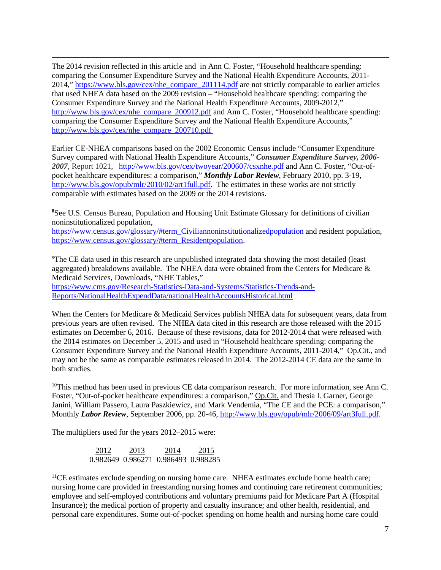$\overline{a}$ The 2014 revision reflected in this article and in Ann C. Foster, "Household healthcare spending: comparing the Consumer Expenditure Survey and the National Health Expenditure Accounts, 2011- 2014," [https://www.bls.gov/cex/nhe\\_compare\\_201114.pdf](https://www.bls.gov/cex/nhe_compare_201114.pdf) are not strictly comparable to earlier articles that used NHEA data based on the 2009 revision – "Household healthcare spending: comparing the Consumer Expenditure Survey and the National Health Expenditure Accounts, 2009-2012," [http://www.bls.gov/cex/nhe\\_compare\\_200912.pdf](http://www.bls.gov/cex/nhe_compare_200912.pdf) and Ann C. Foster, "Household healthcare spending: comparing the Consumer Expenditure Survey and the National Health Expenditure Accounts," [http://www.bls.gov/cex/nhe\\_compare\\_200710.pdf](http://www.bls.gov/cex/nhe_compare_200710.pdf)

Earlier CE-NHEA comparisons based on the 2002 Economic Census include "Consumer Expenditure Survey compared with National Health Expenditure Accounts," *Consumer Expenditure Survey, 2006- 2007*, Report 1021, <http://www.bls.gov/cex/twoyear/200607/csxnhe.pdf> and Ann C. Foster, "Out-ofpocket healthcare expenditures: a comparison," *Monthly Labor Review*, February 2010, pp. 3-19, [http://www.bls.gov/opub/mlr/2010/02/art1full.pdf.](http://www.bls.gov/opub/mlr/2010/02/art1full.pdf) The estimates in these works are not strictly comparable with estimates based on the 2009 or the 2014 revisions.

<span id="page-6-0"></span><sup>8</sup> See U.S. Census Bureau, Population and Housing Unit Estimate Glossary for definitions of civilian noninstitutionalized population,

[https://www.census.gov/glossary/#term\\_Civiliannoninstitutionalizedpopulation](https://www.census.gov/glossary/#term_Civiliannoninstitutionalizedpopulation) and resident population, [https://www.census.gov/glossary/#term\\_Residentpopulation.](https://www.census.gov/glossary/#term_Residentpopulation)

<span id="page-6-1"></span><sup>9</sup>The CE data used in this research are unpublished integrated data showing the most detailed (least aggregated) breakdowns available. The NHEA data were obtained from the Centers for Medicare & Medicaid Services, Downloads, "NHE Tables," [https://www.cms.gov/Research-Statistics-Data-and-Systems/Statistics-Trends-and-](https://www.cms.gov/Research-Statistics-Data-and-Systems/Statistics-Trends-and-Reports/NationalHealthExpendData/nationalHealthAccountsHistorical.html)[Reports/NationalHealthExpendData/nationalHealthAccountsHistorical.html](https://www.cms.gov/Research-Statistics-Data-and-Systems/Statistics-Trends-and-Reports/NationalHealthExpendData/nationalHealthAccountsHistorical.html)

When the Centers for Medicare & Medicaid Services publish NHEA data for subsequent years, data from previous years are often revised. The NHEA data cited in this research are those released with the 2015 estimates on December 6, 2016. Because of these revisions, data for 2012-2014 that were released with the 2014 estimates on December 5, 2015 and used in "Household healthcare spending: comparing the Consumer Expenditure Survey and the National Health Expenditure Accounts, 2011-2014," Op.Cit., and may not be the same as comparable estimates released in 2014. The 2012-2014 CE data are the same in both studies.

<span id="page-6-2"></span> $10$ This method has been used in previous CE data comparison research. For more information, see Ann C. Foster, "Out-of-pocket healthcare expenditures: a comparison," Op.Cit. and Thesia I. Garner, George Janini, William Passero, Laura Paszkiewicz, and Mark Vendemia, "The CE and the PCE: a comparison," Monthly *Labor Review*, September 2006, pp. 20-46[, http://www.bls.gov/opub/mlr/2006/09/art3full.pdf.](http://www.bls.gov/opub/mlr/2006/09/art3full.pdf)

The multipliers used for the years 2012–2015 were:

 2012 2013 2014 2015 0.982649 0.986271 0.986493 0.988285

 $<sup>11</sup>CE$  estimates exclude spending on nursing home care. NHEA estimates exclude home health care;</sup> nursing home care provided in freestanding nursing homes and continuing care retirement communities; employee and self-employed contributions and voluntary premiums paid for Medicare Part A (Hospital Insurance); the medical portion of property and casualty insurance; and other health, residential, and personal care expenditures. Some out-of-pocket spending on home health and nursing home care could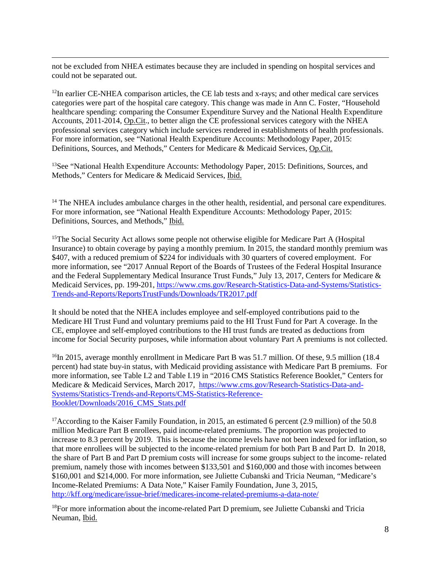$\overline{a}$ not be excluded from NHEA estimates because they are included in spending on hospital services and could not be separated out.

<span id="page-7-1"></span><span id="page-7-0"></span> $12$ In earlier CE-NHEA comparison articles, the CE lab tests and x-rays; and other medical care services categories were part of the hospital care category. This change was made in Ann C. Foster, "Household healthcare spending: comparing the Consumer Expenditure Survey and the National Health Expenditure Accounts, 2011-2014, Op.Cit., to better align the CE professional services category with the NHEA professional services category which include services rendered in establishments of health professionals. For more information, see "National Health Expenditure Accounts: Methodology Paper, 2015: Definitions, Sources, and Methods," Centers for Medicare & Medicaid Services, Op.Cit.

<span id="page-7-2"></span><sup>13</sup>See "National Health Expenditure Accounts: Methodology Paper, 2015: Definitions, Sources, and Methods," Centers for Medicare & Medicaid Services, Ibid.

<span id="page-7-3"></span><sup>14</sup> The NHEA includes ambulance charges in the other health, residential, and personal care expenditures. For more information, see "National Health Expenditure Accounts: Methodology Paper, 2015: Definitions, Sources, and Methods," Ibid.

<span id="page-7-4"></span><sup>15</sup>The Social Security Act allows some people not otherwise eligible for Medicare Part A (Hospital Insurance) to obtain coverage by paying a monthly premium. In 2015, the standard monthly premium was \$407, with a reduced premium of \$224 for individuals with 30 quarters of covered employment. For more information, see "2017 Annual Report of the Boards of Trustees of the Federal Hospital Insurance and the Federal Supplementary Medical Insurance Trust Funds," July 13, 2017, Centers for Medicare & Medicaid Services, pp. 199-201, [https://www.cms.gov/Research-Statistics-Data-and-Systems/Statistics-](https://www.cms.gov/Research-Statistics-Data-and-Systems/Statistics-Trends-and-Reports/ReportsTrustFunds/Downloads/TR2017.pdf)[Trends-and-Reports/ReportsTrustFunds/Downloads/TR2017.pdf](https://www.cms.gov/Research-Statistics-Data-and-Systems/Statistics-Trends-and-Reports/ReportsTrustFunds/Downloads/TR2017.pdf) 

It should be noted that the NHEA includes employee and self-employed contributions paid to the Medicare HI Trust Fund and voluntary premiums paid to the HI Trust Fund for Part A coverage. In the CE, employee and self-employed contributions to the HI trust funds are treated as deductions from income for Social Security purposes, while information about voluntary Part A premiums is not collected.

<span id="page-7-5"></span><sup>16</sup>In 2015, average monthly enrollment in Medicare Part B was 51.7 million. Of these, 9.5 million (18.4) percent) had state buy-in status, with Medicaid providing assistance with Medicare Part B premiums. For more information, see Table I.2 and Table I.19 in "2016 CMS Statistics Reference Booklet," Centers for Medicare & Medicaid Services, March 2017, [https://www.cms.gov/Research-Statistics-Data-and-](https://www.cms.gov/Research-Statistics-Data-and-Systems/Statistics-Trends-and-Reports/CMS-Statistics-Reference-Booklet/Downloads/2016_CMS_Stats.pdf)[Systems/Statistics-Trends-and-Reports/CMS-Statistics-Reference-](https://www.cms.gov/Research-Statistics-Data-and-Systems/Statistics-Trends-and-Reports/CMS-Statistics-Reference-Booklet/Downloads/2016_CMS_Stats.pdf)[Booklet/Downloads/2016\\_CMS\\_Stats.pdf](https://www.cms.gov/Research-Statistics-Data-and-Systems/Statistics-Trends-and-Reports/CMS-Statistics-Reference-Booklet/Downloads/2016_CMS_Stats.pdf) 

<span id="page-7-6"></span><sup>17</sup>According to the Kaiser Family Foundation, in 2015, an estimated 6 percent (2.9 million) of the 50.8 million Medicare Part B enrollees, paid income-related premiums. The proportion was projected to increase to 8.3 percent by 2019. This is because the income levels have not been indexed for inflation, so that more enrollees will be subjected to the income-related premium for both Part B and Part D. In 2018, the share of Part B and Part D premium costs will increase for some groups subject to the income- related premium, namely those with incomes between \$133,501 and \$160,000 and those with incomes between \$160,001 and \$214,000. For more information, see Juliette Cubanski and Tricia Neuman, "Medicare's Income-Related Premiums: A Data Note," Kaiser Family Foundation, June 3, 2015, <http://kff.org/medicare/issue-brief/medicares-income-related-premiums-a-data-note/>

<span id="page-7-7"></span><sup>18</sup>For more information about the income-related Part D premium, see Juliette Cubanski and Tricia Neuman, Ibid.